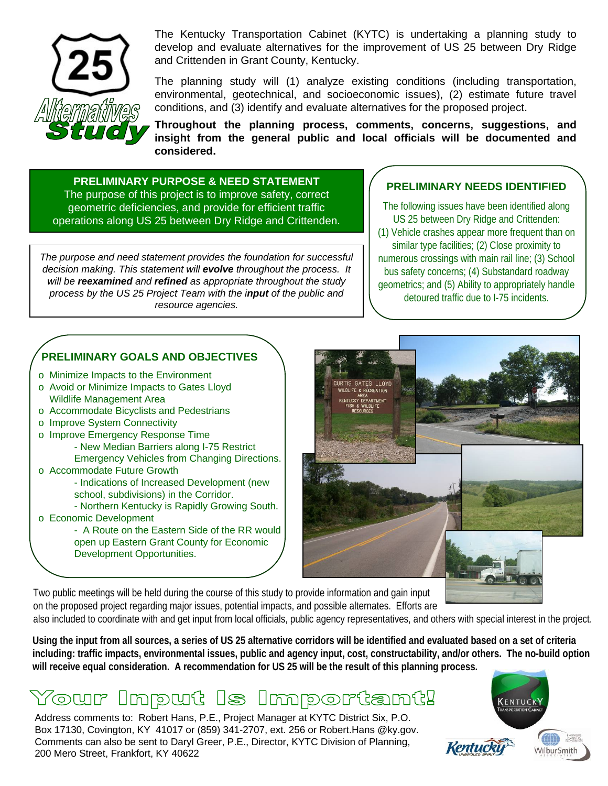

The Kentucky Transportation Cabinet (KYTC) is undertaking a planning study to develop and evaluate alternatives for the improvement of US 25 between Dry Ridge and Crittenden in Grant County, Kentucky.

The planning study will (1) analyze existing conditions (including transportation, environmental, geotechnical, and socioeconomic issues), (2) estimate future travel conditions, and (3) identify and evaluate alternatives for the proposed project.

**Throughout the planning process, comments, concerns, suggestions, and insight from the general public and local officials will be documented and considered.**

**PRELIMINARY PURPOSE & NEED STATEMENT** The purpose of this project is to improve safety, correct geometric deficiencies, and provide for efficient traffic operations along US 25 between Dry Ridge and Crittenden.

*The purpose and need statement provides the foundation for successful decision making. This statement will evolve throughout the process. It will be reexamined and refined as appropriate throughout the study process by the US 25 Project Team with the input of the public and resource agencies.*

## **PRELIMINARY NEEDS IDENTIFIED**

The following issues have been identified along US 25 between Dry Ridge and Crittenden: (1) Vehicle crashes appear more frequent than on similar type facilities; (2) Close proximity to numerous crossings with main rail line; (3) School bus safety concerns; (4) Substandard roadway geometrics; and (5) Ability to appropriately handle detoured traffic due to I-75 incidents.

## **PRELIMINARY GOALS AND OBJECTIVES**

- o Minimize Impacts to the Environment
- o Avoid or Minimize Impacts to Gates Lloyd Wildlife Management Area
- o Accommodate Bicyclists and Pedestrians
- o Improve System Connectivity
- o Improve Emergency Response Time
	- New Median Barriers along I-75 Restrict
	- Emergency Vehicles from Changing Directions.
- o Accommodate Future Growth
	- Indications of Increased Development (new school, subdivisions) in the Corridor.
	- Northern Kentucky is Rapidly Growing South.
- o Economic Development
	- A Route on the Eastern Side of the RR would open up Eastern Grant County for Economic Development Opportunities.



Two public meetings will be held during the course of this study to provide information and gain input on the proposed project regarding major issues, potential impacts, and possible alternates. Efforts are

also included to coordinate with and get input from local officials, public agency representatives, and others with special interest in the project.

**Using the input from all sources, a series of US 25 alternative corridors will be identified and evaluated based on a set of criteria including: traffic impacts, environmental issues, public and agency input, cost, constructability, and/or others. The no-build option will receive equal consideration. A recommendation for US 25 will be the result of this planning process.**

## Tour Input Is Important!

Address comments to: Robert Hans, P.E., Project Manager at KYTC District Six, P.O. Box 17130, Covington, KY 41017 or (859) 341-2707, ext. 256 or Robert.Hans @ky.gov. Comments can also be sent to Daryl Greer, P.E., Director, KYTC Division of Planning, 200 Mero Street, Frankfort, KY 40622